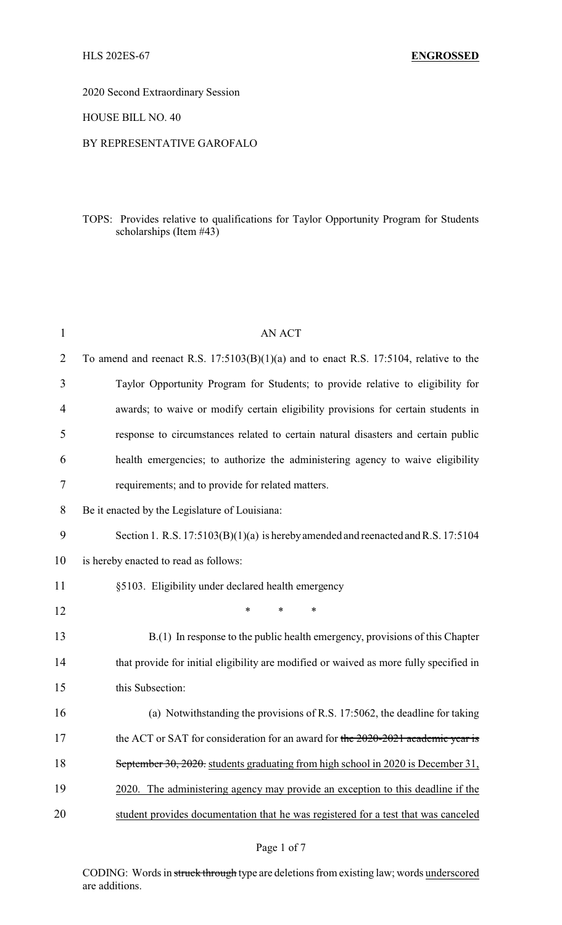2020 Second Extraordinary Session

HOUSE BILL NO. 40

#### BY REPRESENTATIVE GAROFALO

## TOPS: Provides relative to qualifications for Taylor Opportunity Program for Students scholarships (Item #43)

| 1              | <b>AN ACT</b>                                                                           |
|----------------|-----------------------------------------------------------------------------------------|
| $\overline{2}$ | To amend and reenact R.S. $17:5103(B)(1)(a)$ and to enact R.S. 17:5104, relative to the |
| 3              | Taylor Opportunity Program for Students; to provide relative to eligibility for         |
| 4              | awards; to waive or modify certain eligibility provisions for certain students in       |
| 5              | response to circumstances related to certain natural disasters and certain public       |
| 6              | health emergencies; to authorize the administering agency to waive eligibility          |
| 7              | requirements; and to provide for related matters.                                       |
| 8              | Be it enacted by the Legislature of Louisiana:                                          |
| 9              | Section 1. R.S. $17:5103(B)(1)(a)$ is hereby amended and reenacted and R.S. $17:5104$   |
| 10             | is hereby enacted to read as follows:                                                   |
| 11             | §5103. Eligibility under declared health emergency                                      |
| 12             | $\ast$<br>*<br>∗                                                                        |
| 13             | B.(1) In response to the public health emergency, provisions of this Chapter            |
| 14             | that provide for initial eligibility are modified or waived as more fully specified in  |
| 15             | this Subsection:                                                                        |
| 16             | (a) Notwithstanding the provisions of R.S. 17:5062, the deadline for taking             |
| 17             | the ACT or SAT for consideration for an award for the 2020-2021 academic year is        |
| 18             | September 30, 2020. students graduating from high school in 2020 is December 31,        |
| 19             | 2020. The administering agency may provide an exception to this deadline if the         |
| 20             | student provides documentation that he was registered for a test that was canceled      |

Page 1 of 7

CODING: Words in struck through type are deletions from existing law; words underscored are additions.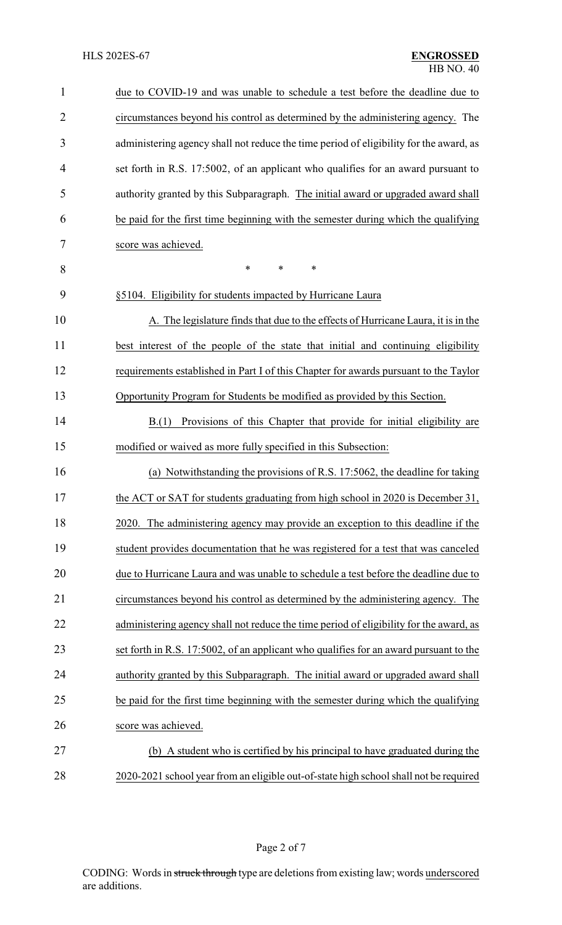| $\mathbf{1}$   | due to COVID-19 and was unable to schedule a test before the deadline due to           |
|----------------|----------------------------------------------------------------------------------------|
| $\overline{2}$ | circumstances beyond his control as determined by the administering agency. The        |
| 3              | administering agency shall not reduce the time period of eligibility for the award, as |
| 4              | set forth in R.S. 17:5002, of an applicant who qualifies for an award pursuant to      |
| 5              | authority granted by this Subparagraph. The initial award or upgraded award shall      |
| 6              | be paid for the first time beginning with the semester during which the qualifying     |
| 7              | score was achieved.                                                                    |
| 8              | *<br>*<br>∗                                                                            |
| 9              | §5104. Eligibility for students impacted by Hurricane Laura                            |
| 10             | A. The legislature finds that due to the effects of Hurricane Laura, it is in the      |
| 11             | best interest of the people of the state that initial and continuing eligibility       |
| 12             | requirements established in Part I of this Chapter for awards pursuant to the Taylor   |
| 13             | Opportunity Program for Students be modified as provided by this Section.              |
| 14             | Provisions of this Chapter that provide for initial eligibility are<br>B(1)            |
| 15             | modified or waived as more fully specified in this Subsection:                         |
| 16             | (a) Notwithstanding the provisions of R.S. 17:5062, the deadline for taking            |
| 17             | the ACT or SAT for students graduating from high school in 2020 is December 31,        |
| 18             | 2020. The administering agency may provide an exception to this deadline if the        |
| 19             | student provides documentation that he was registered for a test that was canceled     |
| 20             | due to Hurricane Laura and was unable to schedule a test before the deadline due to    |
| 21             | circumstances beyond his control as determined by the administering agency. The        |
| 22             | administering agency shall not reduce the time period of eligibility for the award, as |
| 23             | set forth in R.S. 17:5002, of an applicant who qualifies for an award pursuant to the  |
| 24             | authority granted by this Subparagraph. The initial award or upgraded award shall      |
| 25             | be paid for the first time beginning with the semester during which the qualifying     |
| 26             | score was achieved.                                                                    |
| 27             | (b) A student who is certified by his principal to have graduated during the           |
| 28             | 2020-2021 school year from an eligible out-of-state high school shall not be required  |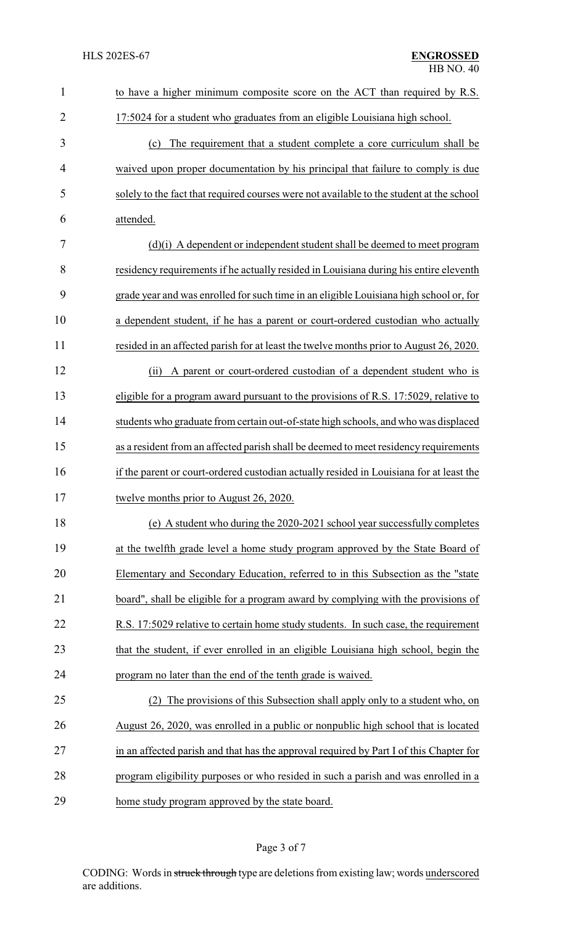| $\mathbf{1}$   | to have a higher minimum composite score on the ACT than required by R.S.                |
|----------------|------------------------------------------------------------------------------------------|
| $\overline{2}$ | 17:5024 for a student who graduates from an eligible Louisiana high school.              |
| 3              | (c) The requirement that a student complete a core curriculum shall be                   |
| $\overline{4}$ | waived upon proper documentation by his principal that failure to comply is due          |
| 5              | solely to the fact that required courses were not available to the student at the school |
| 6              | attended.                                                                                |
| 7              | (d)(i) A dependent or independent student shall be deemed to meet program                |
| 8              | residency requirements if he actually resided in Louisiana during his entire eleventh    |
| 9              | grade year and was enrolled for such time in an eligible Louisiana high school or, for   |
| 10             | a dependent student, if he has a parent or court-ordered custodian who actually          |
| 11             | resided in an affected parish for at least the twelve months prior to August 26, 2020.   |
| 12             | A parent or court-ordered custodian of a dependent student who is<br>(ii)                |
| 13             | eligible for a program award pursuant to the provisions of R.S. 17:5029, relative to     |
| 14             | students who graduate from certain out-of-state high schools, and who was displaced      |
| 15             | as a resident from an affected parish shall be deemed to meet residency requirements     |
| 16             | if the parent or court-ordered custodian actually resided in Louisiana for at least the  |
| 17             | twelve months prior to August 26, 2020.                                                  |
| 18             | (e) A student who during the 2020-2021 school year successfully completes                |
| 19             | at the twelfth grade level a home study program approved by the State Board of           |
| 20             | Elementary and Secondary Education, referred to in this Subsection as the "state         |
| 21             | board", shall be eligible for a program award by complying with the provisions of        |
| 22             | R.S. 17:5029 relative to certain home study students. In such case, the requirement      |
| 23             | that the student, if ever enrolled in an eligible Louisiana high school, begin the       |
| 24             | program no later than the end of the tenth grade is waived.                              |
| 25             | The provisions of this Subsection shall apply only to a student who, on<br>(2)           |
| 26             | August 26, 2020, was enrolled in a public or nonpublic high school that is located       |
| 27             | in an affected parish and that has the approval required by Part I of this Chapter for   |
| 28             | program eligibility purposes or who resided in such a parish and was enrolled in a       |
| 29             | home study program approved by the state board.                                          |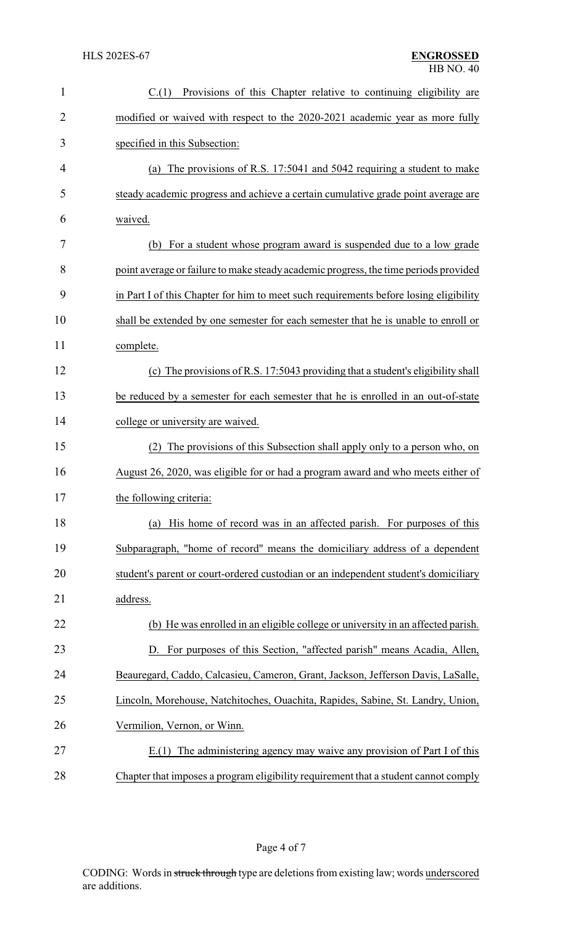| $\mathbf{1}$   | Provisions of this Chapter relative to continuing eligibility are<br>C(1)             |
|----------------|---------------------------------------------------------------------------------------|
| $\overline{2}$ | modified or waived with respect to the 2020-2021 academic year as more fully          |
| 3              | specified in this Subsection:                                                         |
| 4              | (a) The provisions of R.S. 17:5041 and 5042 requiring a student to make               |
| 5              | steady academic progress and achieve a certain cumulative grade point average are     |
| 6              | waived.                                                                               |
| 7              | (b) For a student whose program award is suspended due to a low grade                 |
| 8              | point average or failure to make steady academic progress, the time periods provided  |
| 9              | in Part I of this Chapter for him to meet such requirements before losing eligibility |
| 10             | shall be extended by one semester for each semester that he is unable to enroll or    |
| 11             | complete.                                                                             |
| 12             | (c) The provisions of R.S. 17:5043 providing that a student's eligibility shall       |
| 13             | be reduced by a semester for each semester that he is enrolled in an out-of-state     |
| 14             | college or university are waived.                                                     |
| 15             | The provisions of this Subsection shall apply only to a person who, on<br>(2)         |
| 16             | August 26, 2020, was eligible for or had a program award and who meets either of      |
| 17             | the following criteria:                                                               |
| 18             | His home of record was in an affected parish. For purposes of this<br>(a)             |
| 19             | Subparagraph, "home of record" means the domiciliary address of a dependent           |
| 20             | student's parent or court-ordered custodian or an independent student's domiciliary   |
| 21             | address.                                                                              |
| 22             | (b) He was enrolled in an eligible college or university in an affected parish.       |
| 23             | D. For purposes of this Section, "affected parish" means Acadia, Allen,               |
| 24             | Beauregard, Caddo, Calcasieu, Cameron, Grant, Jackson, Jefferson Davis, LaSalle,      |
| 25             | Lincoln, Morehouse, Natchitoches, Ouachita, Rapides, Sabine, St. Landry, Union,       |
| 26             | Vermilion, Vernon, or Winn.                                                           |
| 27             | E.(1) The administering agency may waive any provision of Part I of this              |
| 28             | Chapter that imposes a program eligibility requirement that a student cannot comply   |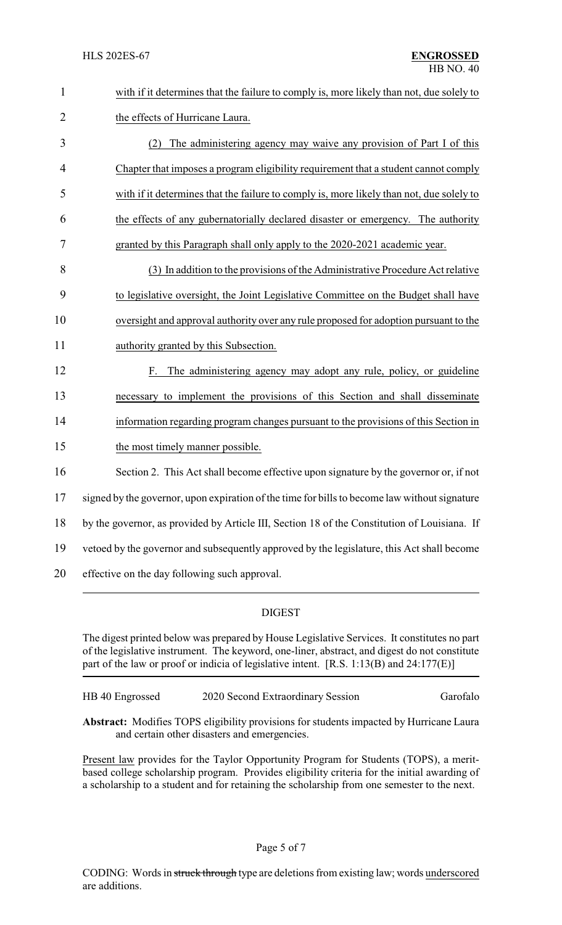| $\mathbf{1}$   | with if it determines that the failure to comply is, more likely than not, due solely to      |
|----------------|-----------------------------------------------------------------------------------------------|
| $\overline{2}$ | the effects of Hurricane Laura.                                                               |
| 3              | The administering agency may waive any provision of Part I of this<br>(2)                     |
| 4              | Chapter that imposes a program eligibility requirement that a student cannot comply           |
| 5              | with if it determines that the failure to comply is, more likely than not, due solely to      |
| 6              | the effects of any gubernatorially declared disaster or emergency. The authority              |
| 7              | granted by this Paragraph shall only apply to the 2020-2021 academic year.                    |
| 8              | (3) In addition to the provisions of the Administrative Procedure Act relative                |
| 9              | to legislative oversight, the Joint Legislative Committee on the Budget shall have            |
| 10             | oversight and approval authority over any rule proposed for adoption pursuant to the          |
| 11             | authority granted by this Subsection.                                                         |
| 12             | The administering agency may adopt any rule, policy, or guideline<br>F.                       |
| 13             | necessary to implement the provisions of this Section and shall disseminate                   |
| 14             | information regarding program changes pursuant to the provisions of this Section in           |
| 15             | the most timely manner possible.                                                              |
| 16             | Section 2. This Act shall become effective upon signature by the governor or, if not          |
| 17             | signed by the governor, upon expiration of the time for bills to become law without signature |
| 18             | by the governor, as provided by Article III, Section 18 of the Constitution of Louisiana. If  |
| 19             | vetoed by the governor and subsequently approved by the legislature, this Act shall become    |
| 20             | effective on the day following such approval.                                                 |

# DIGEST

The digest printed below was prepared by House Legislative Services. It constitutes no part of the legislative instrument. The keyword, one-liner, abstract, and digest do not constitute part of the law or proof or indicia of legislative intent. [R.S. 1:13(B) and 24:177(E)]

HB 40 Engrossed 2020 Second Extraordinary Session Garofalo

**Abstract:** Modifies TOPS eligibility provisions for students impacted by Hurricane Laura and certain other disasters and emergencies.

Present law provides for the Taylor Opportunity Program for Students (TOPS), a meritbased college scholarship program. Provides eligibility criteria for the initial awarding of a scholarship to a student and for retaining the scholarship from one semester to the next.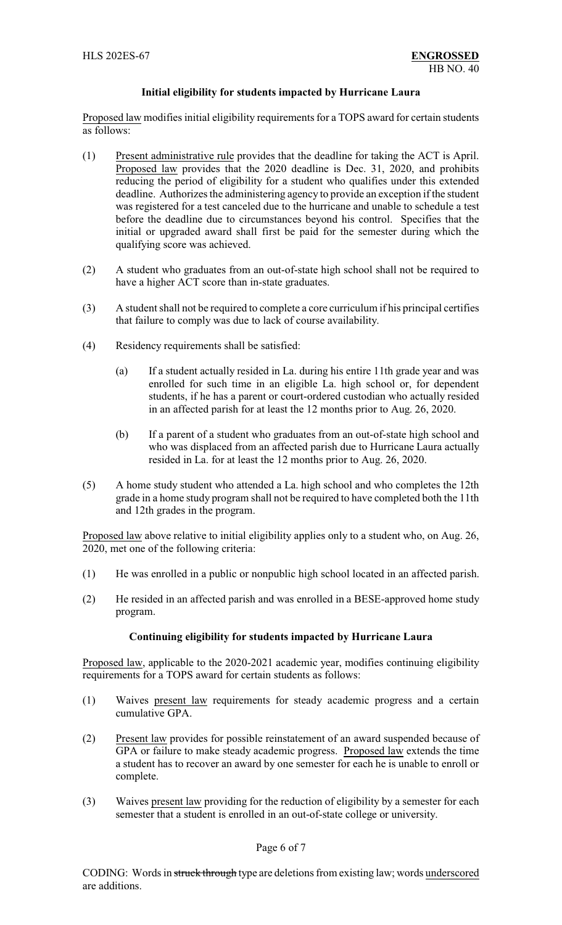### **Initial eligibility for students impacted by Hurricane Laura**

Proposed law modifies initial eligibility requirements for a TOPS award for certain students as follows:

- (1) Present administrative rule provides that the deadline for taking the ACT is April. Proposed law provides that the 2020 deadline is Dec. 31, 2020, and prohibits reducing the period of eligibility for a student who qualifies under this extended deadline. Authorizes the administering agency to provide an exception if the student was registered for a test canceled due to the hurricane and unable to schedule a test before the deadline due to circumstances beyond his control. Specifies that the initial or upgraded award shall first be paid for the semester during which the qualifying score was achieved.
- (2) A student who graduates from an out-of-state high school shall not be required to have a higher ACT score than in-state graduates.
- (3) A student shall not be required to complete a core curriculum if his principal certifies that failure to comply was due to lack of course availability.
- (4) Residency requirements shall be satisfied:
	- (a) If a student actually resided in La. during his entire 11th grade year and was enrolled for such time in an eligible La. high school or, for dependent students, if he has a parent or court-ordered custodian who actually resided in an affected parish for at least the 12 months prior to Aug. 26, 2020.
	- (b) If a parent of a student who graduates from an out-of-state high school and who was displaced from an affected parish due to Hurricane Laura actually resided in La. for at least the 12 months prior to Aug. 26, 2020.
- (5) A home study student who attended a La. high school and who completes the 12th grade in a home study program shall not be required to have completed both the 11th and 12th grades in the program.

Proposed law above relative to initial eligibility applies only to a student who, on Aug. 26, 2020, met one of the following criteria:

- (1) He was enrolled in a public or nonpublic high school located in an affected parish.
- (2) He resided in an affected parish and was enrolled in a BESE-approved home study program.

### **Continuing eligibility for students impacted by Hurricane Laura**

Proposed law, applicable to the 2020-2021 academic year, modifies continuing eligibility requirements for a TOPS award for certain students as follows:

- (1) Waives present law requirements for steady academic progress and a certain cumulative GPA.
- (2) Present law provides for possible reinstatement of an award suspended because of GPA or failure to make steady academic progress. Proposed law extends the time a student has to recover an award by one semester for each he is unable to enroll or complete.
- (3) Waives present law providing for the reduction of eligibility by a semester for each semester that a student is enrolled in an out-of-state college or university.

### Page 6 of 7